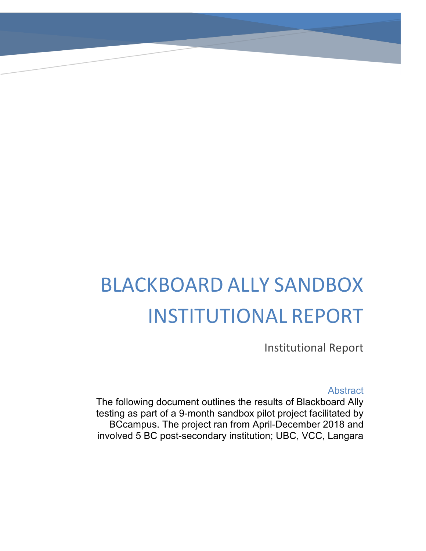# BLACKBOARD ALLY SANDBOX INSTITUTIONAL REPORT

Institutional Report

Abstract

The following document outlines the results of Blackboard Ally testing as part of a 9-month sandbox pilot project facilitated by BCcampus. The project ran from April-December 2018 and involved 5 BC post-secondary institution; UBC, VCC, Langara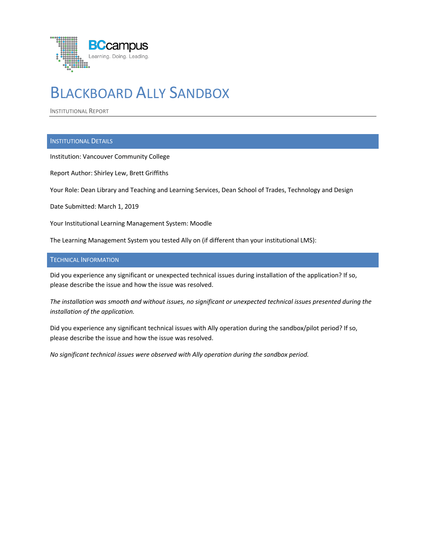

# BLACKBOARD ALLY SANDBOX

INSTITUTIONAL REPORT

# INSTITUTIONAL DETAILS

Institution: Vancouver Community College

Report Author: Shirley Lew, Brett Griffiths

Your Role: Dean Library and Teaching and Learning Services, Dean School of Trades, Technology and Design

Date Submitted: March 1, 2019

Your Institutional Learning Management System: Moodle

The Learning Management System you tested Ally on (if different than your institutional LMS):

### TECHNICAL INFORMATION

Did you experience any significant or unexpected technical issues during installation of the application? If so, please describe the issue and how the issue was resolved.

*The installation was smooth and without issues, no significant or unexpected technical issues presented during the installation of the application.*

Did you experience any significant technical issues with Ally operation during the sandbox/pilot period? If so, please describe the issue and how the issue was resolved.

*No significant technical issues were observed with Ally operation during the sandbox period.*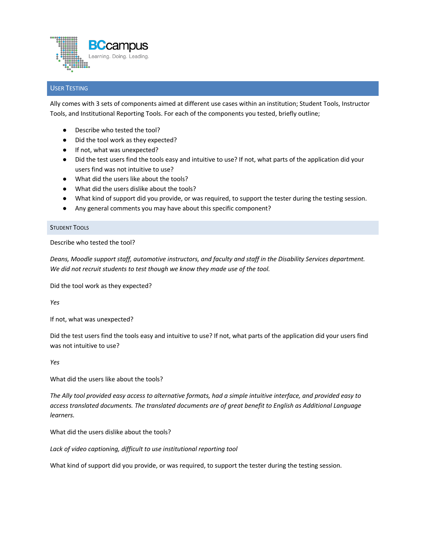

# USER TESTING

Ally comes with 3 sets of components aimed at different use cases within an institution; Student Tools, Instructor Tools, and Institutional Reporting Tools. For each of the components you tested, briefly outline;

- Describe who tested the tool?
- Did the tool work as they expected?
- If not, what was unexpected?
- Did the test users find the tools easy and intuitive to use? If not, what parts of the application did your users find was not intuitive to use?
- What did the users like about the tools?
- What did the users dislike about the tools?
- What kind of support did you provide, or was required, to support the tester during the testing session.
- Any general comments you may have about this specific component?

#### STUDENT TOOLS

Describe who tested the tool?

*Deans, Moodle support staff, automotive instructors, and faculty and staff in the Disability Services department. We did not recruit students to test though we know they made use of the tool.* 

Did the tool work as they expected?

*Yes*

If not, what was unexpected?

Did the test users find the tools easy and intuitive to use? If not, what parts of the application did your users find was not intuitive to use?

*Yes*

What did the users like about the tools?

*The Ally tool provided easy access to alternative formats, had a simple intuitive interface, and provided easy to access translated documents. The translated documents are of great benefit to English as Additional Language learners.* 

What did the users dislike about the tools?

*Lack of video captioning, difficult to use institutional reporting tool*

What kind of support did you provide, or was required, to support the tester during the testing session.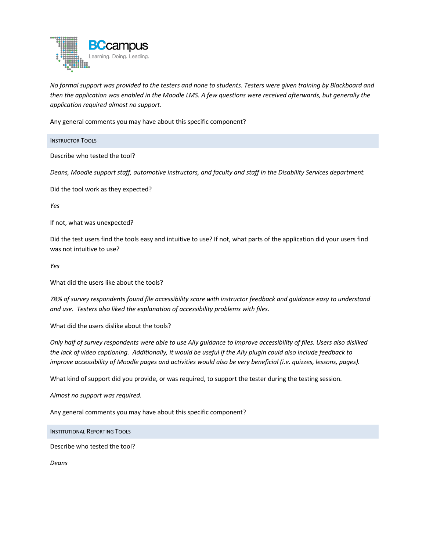

*No formal support was provided to the testers and none to students. Testers were given training by Blackboard and then the application was enabled in the Moodle LMS. A few questions were received afterwards, but generally the application required almost no support.*

Any general comments you may have about this specific component?

INSTRUCTOR TOOLS

Describe who tested the tool?

*Deans, Moodle support staff, automotive instructors, and faculty and staff in the Disability Services department.* 

Did the tool work as they expected?

*Yes*

If not, what was unexpected?

Did the test users find the tools easy and intuitive to use? If not, what parts of the application did your users find was not intuitive to use?

*Yes*

What did the users like about the tools?

*78% of survey respondents found file accessibility score with instructor feedback and guidance easy to understand and use. Testers also liked the explanation of accessibility problems with files.*

What did the users dislike about the tools?

*Only half of survey respondents were able to use Ally guidance to improve accessibility of files. Users also disliked the lack of video captioning. Additionally, it would be useful if the Ally plugin could also include feedback to improve accessibility of Moodle pages and activities would also be very beneficial (i.e. quizzes, lessons, pages).* 

What kind of support did you provide, or was required, to support the tester during the testing session.

*Almost no support was required.* 

Any general comments you may have about this specific component?

INSTITUTIONAL REPORTING TOOLS

Describe who tested the tool?

*Deans*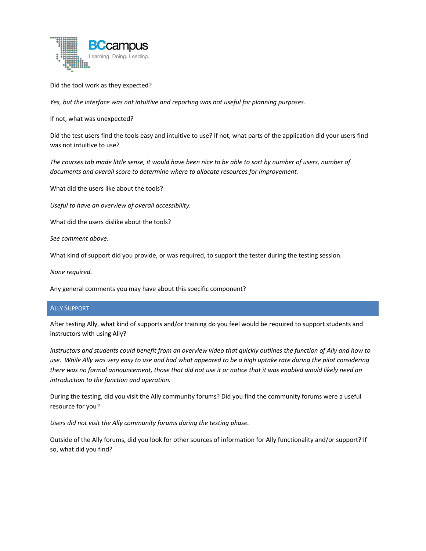

Did the tool work as they expected?

*Yes, but the interface was not intuitive and reporting was not useful for planning purposes.*

If not, what was unexpected?

Did the test users find the tools easy and intuitive to use? If not, what parts of the application did your users find was not intuitive to use?

*The courses tab made little sense, it would have been nice to be able to sort by number of users, number of documents and overall score to determine where to allocate resources for improvement.*

What did the users like about the tools?

*Useful to have an overview of overall accessibility.* 

What did the users dislike about the tools?

*See comment above.* 

What kind of support did you provide, or was required, to support the tester during the testing session.

*None required.*

Any general comments you may have about this specific component?

## ALLY SUPPORT

After testing Ally, what kind of supports and/or training do you feel would be required to support students and instructors with using Ally?

*Instructors and students could benefit from an overview video that quickly outlines the function of Ally and how to use. While Ally was very easy to use and had what appeared to be a high uptake rate during the pilot considering there was no formal announcement, those that did not use it or notice that it was enabled would likely need an introduction to the function and operation.* 

During the testing, did you visit the Ally community forums? Did you find the community forums were a useful resource for you?

*Users did not visit the Ally community forums during the testing phase.*

Outside of the Ally forums, did you look for other sources of information for Ally functionality and/or support? If so, what did you find?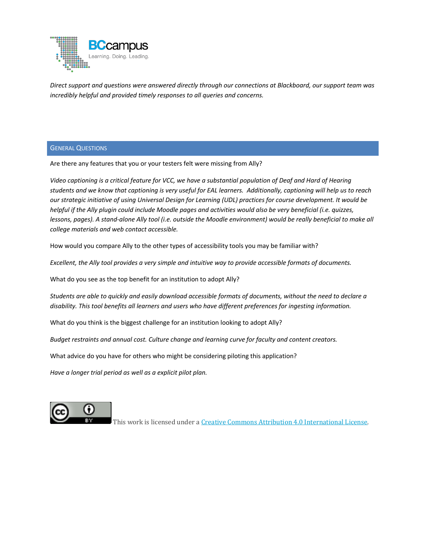

*Direct support and questions were answered directly through our connections at Blackboard, our support team was incredibly helpful and provided timely responses to all queries and concerns.*

### GENERAL QUESTIONS

Are there any features that you or your testers felt were missing from Ally?

*Video captioning is a critical feature for VCC, we have a substantial population of Deaf and Hard of Hearing students and we know that captioning is very useful for EAL learners. Additionally, captioning will help us to reach our strategic initiative of using Universal Design for Learning (UDL) practices for course development. It would be helpful if the Ally plugin could include Moodle pages and activities would also be very beneficial (i.e. quizzes, lessons, pages). A stand-alone Ally tool (i.e. outside the Moodle environment) would be really beneficial to make all college materials and web contact accessible.* 

How would you compare Ally to the other types of accessibility tools you may be familiar with?

*Excellent, the Ally tool provides a very simple and intuitive way to provide accessible formats of documents.*

What do you see as the top benefit for an institution to adopt Ally?

*Students are able to quickly and easily download accessible formats of documents, without the need to declare a disability. This tool benefits all learners and users who have different preferences for ingesting information.* 

What do you think is the biggest challenge for an institution looking to adopt Ally?

*Budget restraints and annual cost. Culture change and learning curve for faculty and content creators.* 

What advice do you have for others who might be considering piloting this application?

*Have a longer trial period as well as a explicit pilot plan.*



This work is licensed under a Creative Commons Attribution 4.0 International License.